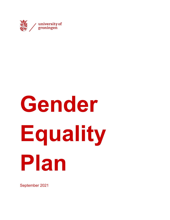

## **Gender Equality Plan**

September 2021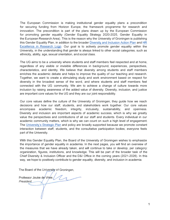The European Commission is making institutional gender equality plans a precondition for securing funding from Horizon Europe, the framework programme for research and innovation. The precondition is part of the plans drawn up by the European Commission for promoting gender equality (Gender Equality Strategy 2020-2025, Gender Equality in the European Research Area). This is the reason why the University of Groningen is publishing this Gender Equality Plan, in addition to the broader Diversity and Inclusion Action Plan and HR Excellence in Research Logo. Our goal is to actively promote gender equality within the University, in the understanding that gender is always linked to other social categories, such as ethnicity, ability, age, sexual orientation, and social class.

The UG aims to be a university where students and staff members feel respected and at home, regardless of any visible or invisible differences in background, experiences, perspectives, characteristics, and identity. We believe that diversity among students and staff members enriches the academic debate and helps to improve the quality of our teaching and research. Together, we want to create a stimulating study and work environment based on respect for diversity in the broadest sense of the word, and where students and staff members feel connected with the UG community. We aim to achieve a change of culture towards more inclusion by raising awareness of the added value of diversity. Diversity, inclusion, and justice are important core values for the UG and they are our joint responsibility.

Our core values define the culture of the University of Groningen; they guide how we reach decisions and how our staff, students, and stakeholders work together. Our core values encompass academic freedom, integrity, inclusivity, sustainability, and openness. Diversity and inclusion are important aspects of academic success, which is why we greatly value the perspectives and contributions of all our staff and students. Every individual in our academic community matters, which is why we can count on such a high level of engagement. The University's Strategic Plan and policy are broadly supported because we promote constant interaction between staff, students, and the consultative participation bodies; everyone feels part of the University.

With this Gender Equality Plan, the Board of the University of Groningen wishes to emphasize the importance of gender equality in academia. In the next pages, you will find an overview of the measures that we have already taken, and will continue to take or develop, per category: organization, figures, institutions, and knowledge. This will be part of the broader task of the Chief Diversity & Inclusion Officer and the D&I Office in the coming years (2021-2026). In this way, we hope to positively contribute to gender equality, diversity, and inclusion in academia.

The Board of the University of Groningen,

Professor Jouke de Vries President\_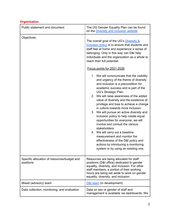## **Organization**

| Public statement and document                            | The UG Gender Equality Plan can be found<br>on the Diversity and Inclusion website                                                                                                                                                                                                                                                                                                                                                                                                                                                                                                                                                                                                                                                                                                                                                                                                                                                                                  |  |
|----------------------------------------------------------|---------------------------------------------------------------------------------------------------------------------------------------------------------------------------------------------------------------------------------------------------------------------------------------------------------------------------------------------------------------------------------------------------------------------------------------------------------------------------------------------------------------------------------------------------------------------------------------------------------------------------------------------------------------------------------------------------------------------------------------------------------------------------------------------------------------------------------------------------------------------------------------------------------------------------------------------------------------------|--|
| Objectives                                               | The overall goal of the UG's Diversity &<br>Inclusion policy is to ensure that students and<br>staff feel at home and experience a sense of<br>belonging. Only in this way can D&I help<br>individuals and the organization as a whole to<br>reach their full potential.<br>Focus points for 2021-2026<br>1. We will communicate that the visibility<br>and urgency of the theme of diversity<br>and inclusion is a precondition for<br>academic success and is part of the<br>UG's Strategic Plan.<br>2. We will raise awareness of the added<br>value of diversity and the existence of<br>privilege and bias to achieve a change<br>in culture towards more inclusion.<br>3. We will pursue an active diversity and<br>inclusion policy to help create equal<br>opportunities for everyone; we will<br>involve and consult the various<br>stakeholders.<br>4. We will carry out a baseline<br>measurement and monitor the<br>effectiveness of the D&I policy and |  |
|                                                          | actions by introducing a monitoring<br>system or by using an existing one.                                                                                                                                                                                                                                                                                                                                                                                                                                                                                                                                                                                                                                                                                                                                                                                                                                                                                          |  |
| Specific allocation of resources/budget and<br>positions | Resources are being allocated for staff<br>positions (D&I office) dedicated to gender<br>equality, diversity, and inclusion. For other<br>staff members, a portion of their working<br>hours are being set aside to work on gender<br>equality, diversity, and inclusion.                                                                                                                                                                                                                                                                                                                                                                                                                                                                                                                                                                                                                                                                                           |  |
| Mixed (advisory) team                                    | D&I team (in development)                                                                                                                                                                                                                                                                                                                                                                                                                                                                                                                                                                                                                                                                                                                                                                                                                                                                                                                                           |  |
| Data collection, monitoring, and evaluation              | Data on sex or gender of staff and<br>management is available via dashboards. We                                                                                                                                                                                                                                                                                                                                                                                                                                                                                                                                                                                                                                                                                                                                                                                                                                                                                    |  |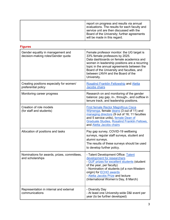|  | report on progress and results via annual<br>evaluations. The results for each faculty and<br>service unit are then discussed with the<br>Board of the University; further agreements<br>will be made in this regard. |
|--|-----------------------------------------------------------------------------------------------------------------------------------------------------------------------------------------------------------------------|
|--|-----------------------------------------------------------------------------------------------------------------------------------------------------------------------------------------------------------------------|

## **Figures** Gender equality in management and decision-making roles/Gender quota Female professor monitor: the UG target is 33% female professors by 2025. Data dashboards on female academics and women in leadership positions are a recurring topic in the annual agreements between the Board of the University and faculties, and between LNVH and the Board of the University. Creating positions especially for women/ preferential policy [Rosalind Franklin Fellowship](https://www.rug.nl/about-ug/work-with-us/rff/) and [Aletta](https://www.rug.nl/alettajaar/nieuws/nieuws-items/fifteen-aletta-jacobs-chairs-for-female-academics)  [Jacobs chairs](https://www.rug.nl/alettajaar/nieuws/nieuws-items/fifteen-aletta-jacobs-chairs-for-female-academics) Monitoring career progress **Research** Research on and monitoring of the gender balance: pay gap, in-, through-, and outflow in tenure track, and leadership positions. Creation of role models (for staff and students) [First female Rector Magnificus Cisca](https://www.rug.nl/news/2019/05/two-new-members-appointed-to-the-board-of-the-university-of-groningen)  [Wijmenga,](https://www.rug.nl/news/2019/05/two-new-members-appointed-to-the-board-of-the-university-of-groningen) female [deans](https://myuniversity.rug.nl/infonet/medewerkers/organisatie/administrative-organization/committee-of-deans) (3 out of 11) and [managing directors](https://www.rug.nl/about-ug/organization/administrative-organization/advisory-committees/management-council/composition) (9 out of 16; 11 faculties and 5 service units), [female Dean of](https://www.rug.nl/news/2020/05/new-dean-of-graduate-studies?lang=en)  [Graduate Studies,](https://www.rug.nl/news/2020/05/new-dean-of-graduate-studies?lang=en) [Rosalind Franklin Fellows,](https://www.rug.nl/about-ug/work-with-us/rff/) and [Aletta Jacobs chairs](https://www.rug.nl/alettajaar/nieuws/nieuws-items/fifteen-aletta-jacobs-chairs-for-female-academics) Allocation of positions and tasks **Pay gap survey, COVID-19 wellbeing** surveys, regular staff surveys, student and alumni surveys. The results of these surveys should be used to develop further policy. Nominations for awards, prizes, committees, and scholarships - Talent Development Office: [Talent](https://www.rug.nl/about-ug/profile/talent-development/talent-development-voor-onderzoekers?lang=en)  [development for researchers](https://www.rug.nl/about-ug/profile/talent-development/talent-development-voor-onderzoekers?lang=en) - [GUF prizes for excellent students](https://www.rug.nl/alumni/support-research-and-education/groninger-university-fund/guf-prijzen-en-penningen/guf-100/2021/guf-100-prizes-2021) (student of the year, per faculty) - Nomination of students (of a non-Western origin) for [ECHO awards](https://echo-net.nl/echo-award/) - [Aletta Jacobs Prize](https://www.rug.nl/about-ug/profile/prizes-and-awards/aletta-jacobs-prize/) and lecture (International Women's Day, 8 March) Representation in internal and external communications - Diversity Day - At least one University-wide D&I event per year (to be further developed)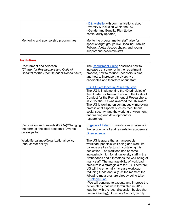|                                      | - D&I website with communications about<br>Diversity & Inclusion within the UG<br>- Gender and Equality Plan (to be<br>continuously updated)                       |
|--------------------------------------|--------------------------------------------------------------------------------------------------------------------------------------------------------------------|
| Mentoring and sponsorship programmes | Mentoring programme for staff, also for<br>specific target groups like Rosalind Franklin<br>Fellows, Aletta Jacobs chairs, and young<br>support and academic staff |

|  | <b>Institutions</b> |  |
|--|---------------------|--|
|  |                     |  |

| Recruitment and selection<br>(Charter for Researchers and Code of<br><b>Conduct for the Recruitment of Researchers)</b> | The Recruitment Guide describes how to<br>increase transparency in the recruitment<br>process, how to reduce unconscious bias,<br>and how to increase the diversity of<br>candidates and therefore of our staff.                                                                                                                                                                                                                                                                                                                                                                                                                                                                                                                         |
|-------------------------------------------------------------------------------------------------------------------------|------------------------------------------------------------------------------------------------------------------------------------------------------------------------------------------------------------------------------------------------------------------------------------------------------------------------------------------------------------------------------------------------------------------------------------------------------------------------------------------------------------------------------------------------------------------------------------------------------------------------------------------------------------------------------------------------------------------------------------------|
|                                                                                                                         | <b>EC HR Excellence in Research Logo</b><br>The UG is implementing the 40 principles of<br>the Charter for Researchers and the Code of<br>Conduct for the Recruitment of Researchers.<br>In 2015, the UG was awarded the HR award.<br>The UG is working on continuously improving<br>professional aspects such as recruitment,<br>social security, and the working environment,<br>and training and development for<br>researchers.                                                                                                                                                                                                                                                                                                      |
| Recognition and rewards (DORA)/Changing<br>the norm of 'the ideal academic'/Diverse<br>career paths                     | Engage all Talent: Towards a new balance in<br>the recognition of and rewards for academics.<br>Open science                                                                                                                                                                                                                                                                                                                                                                                                                                                                                                                                                                                                                             |
| Work-life balance/Organizational policy<br>(dual-career policy)                                                         | The UG is aware that a manageable<br>workload, people's well-being and work-life<br>balance are key factors in sustaining this<br>dedication. The workload has become<br>increasingly high for all university staff in the<br>Netherlands and it threatens the well-being of<br>many staff. The manageability of workload<br>pressure is a strategic aim for UG. Therefore,<br>UG will incrementally increase workload-<br>reducing funds annually. At the moment the<br>following measures are already being taken<br>(Strategic Plan):<br>. We will continue to execute and improve the<br>action plans that were formulated in 2017<br>together with the local discussion bodies (het<br>Lokaal Overleg), University Council, faculty |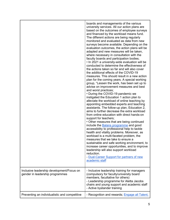|                                                                              | boards and managements of the various<br>university services. All our action plans are<br>based on the outcomes of employee surveys<br>and financed by the workload means fund.<br>The different actions are being regularly<br>monitored and evaluated as data from new<br>surveys become available. Depending on the<br>evaluation outcomes, the action plans will be<br>adapted and new measures will be taken,<br>where necessary in consultation with the<br>faculty boards and participation bodies;<br>. In 2021 a university-wide evaluation will be<br>conducted to determine the effectiveness of<br>the actions taken so far and will also cover<br>the additional effects of the COVID-19<br>measures. This should result in a new action<br>plan for the coming years. A special working<br>group, "Lessen the work, has been set up to<br>advise on improvement measures and best<br>and worst practices;<br>• During the COVID-19 pandemic we<br>instigated the Education 1 action plan to<br>alleviate the workload of online teaching by<br>appointing embedded experts and teaching<br>assistants. The follow-up plan, Education 2,<br>aims to further decrease the extra workload<br>from online education with direct hands-on<br>support for teachers;<br>• Other measures that are being continued<br>include the <b>Balans</b> programme and good<br>accessibility to professional help to tackle<br>health and vitality problems. Moreover, as<br>workload is a multi-faceted problem, the<br>measures that we take to ensure a<br>sustainable and safe working environment, to<br>increase career opportunities, and to improve<br>leadership will also support workload<br>reduction.<br>- Dual-Career Support for partners of new<br>academic staff |
|------------------------------------------------------------------------------|--------------------------------------------------------------------------------------------------------------------------------------------------------------------------------------------------------------------------------------------------------------------------------------------------------------------------------------------------------------------------------------------------------------------------------------------------------------------------------------------------------------------------------------------------------------------------------------------------------------------------------------------------------------------------------------------------------------------------------------------------------------------------------------------------------------------------------------------------------------------------------------------------------------------------------------------------------------------------------------------------------------------------------------------------------------------------------------------------------------------------------------------------------------------------------------------------------------------------------------------------------------------------------------------------------------------------------------------------------------------------------------------------------------------------------------------------------------------------------------------------------------------------------------------------------------------------------------------------------------------------------------------------------------------------------------------------------------------------------------------------------------------------------|
| Inclusive leadership development/Focus on<br>gender in leadership programmes | - Inclusive leadership training for managers<br>(compulsory for faculty/university board<br>members, facultative for others)<br>- Leadership programme for Aletta Jacobs<br>chairs and young support and academic staff<br>- Active bystander training                                                                                                                                                                                                                                                                                                                                                                                                                                                                                                                                                                                                                                                                                                                                                                                                                                                                                                                                                                                                                                                                                                                                                                                                                                                                                                                                                                                                                                                                                                                         |
| Preventing an individualistic and competitive                                | - Recognition and rewards; <b>Engage all Talent</b> ,                                                                                                                                                                                                                                                                                                                                                                                                                                                                                                                                                                                                                                                                                                                                                                                                                                                                                                                                                                                                                                                                                                                                                                                                                                                                                                                                                                                                                                                                                                                                                                                                                                                                                                                          |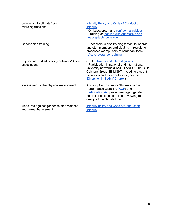| culture ('chilly climate') and<br>micro-aggressions               | <b>Integrity Policy and Code of Conduct on</b><br><b>Integrity</b><br>- Ombudsperson and confidential advisor<br>- Training on dealing with aggressive and<br>unacceptable behaviour                                                                           |
|-------------------------------------------------------------------|----------------------------------------------------------------------------------------------------------------------------------------------------------------------------------------------------------------------------------------------------------------|
| Gender bias training                                              | - Unconscious bias training for faculty boards<br>and staff members participating in recruitment<br>processes (compulsory at some faculties)<br>- Active bystander training                                                                                    |
| Support networks/Diversity networks/Student<br>associations       | - UG networks and interest groups<br>- Participation in national and international<br>university networks (LNVH, LANDO, The Guild<br>Coimbra Group, ENLIGHT, including student<br>networks) and wider networks (member of<br>'Diversiteit in Bedrijf' Charter) |
| Assessment of the physical environment                            | Advisory Committee for Students with a<br>Performance Disability (ACF) and<br><b>Participation Act project manager, gender</b><br>neutral and disabled toilets, reviewing the<br>design of the Senate Room.                                                    |
| Measures against gender-related violence<br>and sexual harassment | <b>Integrity policy and Code of Conduct on</b><br>Integrity                                                                                                                                                                                                    |